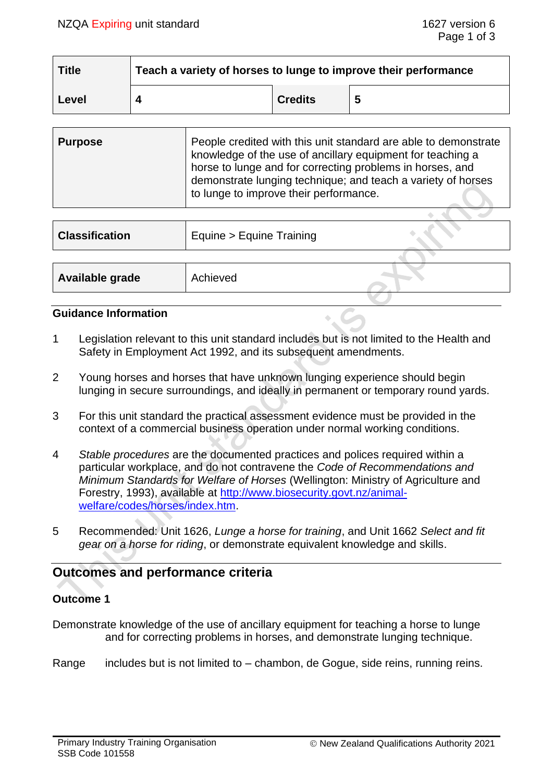| <b>Title</b> | Teach a variety of horses to lunge to improve their performance |                |   |  |
|--------------|-----------------------------------------------------------------|----------------|---|--|
| Level        |                                                                 | <b>Credits</b> | 5 |  |

| <b>Purpose</b> | People credited with this unit standard are able to demonstrate<br>knowledge of the use of ancillary equipment for teaching a<br>horse to lunge and for correcting problems in horses, and<br>demonstrate lunging technique; and teach a variety of horses<br>to lunge to improve their performance. |
|----------------|------------------------------------------------------------------------------------------------------------------------------------------------------------------------------------------------------------------------------------------------------------------------------------------------------|
|                |                                                                                                                                                                                                                                                                                                      |

| <b>Classification</b> | Equine > Equine Training |  |
|-----------------------|--------------------------|--|
|                       |                          |  |
| Available grade       | Achieved                 |  |
|                       |                          |  |

#### **Guidance Information**

- 1 Legislation relevant to this unit standard includes but is not limited to the Health and Safety in Employment Act 1992, and its subsequent amendments.
- 2 Young horses and horses that have unknown lunging experience should begin lunging in secure surroundings, and ideally in permanent or temporary round yards.
- 3 For this unit standard the practical assessment evidence must be provided in the context of a commercial business operation under normal working conditions.
- 4 *Stable procedures* are the documented practices and polices required within a particular workplace, and do not contravene the *Code of Recommendations and Minimum Standards for Welfare of Horses* (Wellington: Ministry of Agriculture and Forestry, 1993), available at [http://www.biosecurity.govt.nz/animal](http://www.biosecurity.govt.nz/animal-welfare/codes/horses/index.htm)[welfare/codes/horses/index.htm.](http://www.biosecurity.govt.nz/animal-welfare/codes/horses/index.htm)
- 5 Recommended: Unit 1626, *Lunge a horse for training*, and Unit 1662 *Select and fit gear on a horse for riding*, or demonstrate equivalent knowledge and skills.

## **Outcomes and performance criteria**

### **Outcome 1**

Demonstrate knowledge of the use of ancillary equipment for teaching a horse to lunge and for correcting problems in horses, and demonstrate lunging technique.

Range includes but is not limited to – chambon, de Gogue, side reins, running reins.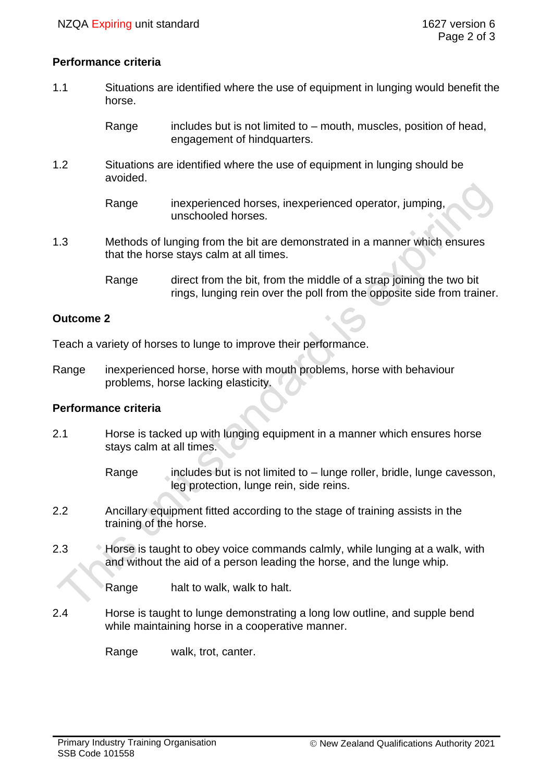#### **Performance criteria**

1.1 Situations are identified where the use of equipment in lunging would benefit the horse.

> Range includes but is not limited to  $-$  mouth, muscles, position of head, engagement of hindquarters.

1.2 Situations are identified where the use of equipment in lunging should be avoided.

> Range inexperienced horses, inexperienced operator, jumping, unschooled horses.

- 1.3 Methods of lunging from the bit are demonstrated in a manner which ensures that the horse stays calm at all times.
	- Range direct from the bit, from the middle of a strap joining the two bit rings, lunging rein over the poll from the opposite side from trainer.

#### **Outcome 2**

Teach a variety of horses to lunge to improve their performance.

Range inexperienced horse, horse with mouth problems, horse with behaviour problems, horse lacking elasticity.

#### **Performance criteria**

2.1 Horse is tacked up with lunging equipment in a manner which ensures horse stays calm at all times.

> Range includes but is not limited to – lunge roller, bridle, lunge cavesson, leg protection, lunge rein, side reins.

- 2.2 Ancillary equipment fitted according to the stage of training assists in the training of the horse.
- 2.3 Horse is taught to obey voice commands calmly, while lunging at a walk, with and without the aid of a person leading the horse, and the lunge whip.

Range halt to walk, walk to halt.

2.4 Horse is taught to lunge demonstrating a long low outline, and supple bend while maintaining horse in a cooperative manner.

Range walk, trot, canter.